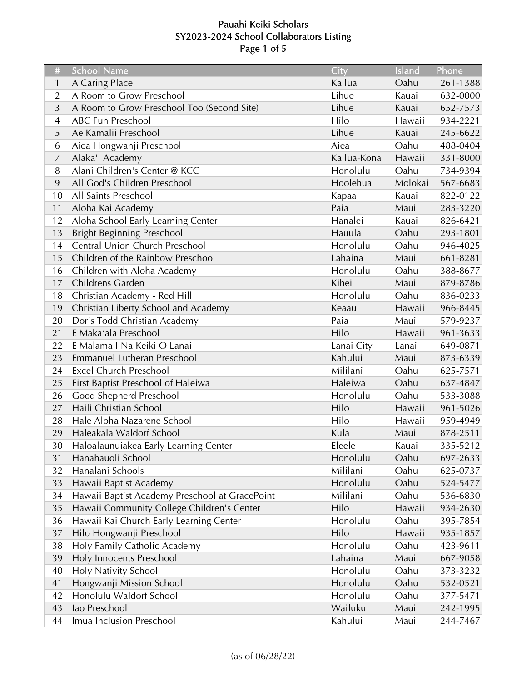# Pauahi Keiki Scholars SY2023-2024 School Collaborators Listing Page 1 of 5

| #              | <b>School Name</b>                             | City        | Island  | Phone    |
|----------------|------------------------------------------------|-------------|---------|----------|
| 1              | A Caring Place                                 | Kailua      | Oahu    | 261-1388 |
| $\overline{2}$ | A Room to Grow Preschool                       | Lihue       | Kauai   | 632-0000 |
| 3              | A Room to Grow Preschool Too (Second Site)     | Lihue       | Kauai   | 652-7573 |
| $\overline{4}$ | <b>ABC Fun Preschool</b>                       | Hilo        | Hawaii  | 934-2221 |
| 5              | Ae Kamalii Preschool                           | Lihue       | Kauai   | 245-6622 |
| 6              | Aiea Hongwanji Preschool                       | Aiea        | Oahu    | 488-0404 |
| $\overline{7}$ | Alaka'i Academy                                | Kailua-Kona | Hawaii  | 331-8000 |
| 8              | Alani Children's Center @ KCC                  | Honolulu    | Oahu    | 734-9394 |
| 9              | All God's Children Preschool                   | Hoolehua    | Molokai | 567-6683 |
| 10             | All Saints Preschool                           | Kapaa       | Kauai   | 822-0122 |
| 11             | Aloha Kai Academy                              | Paia        | Maui    | 283-3220 |
| 12             | Aloha School Early Learning Center             | Hanalei     | Kauai   | 826-6421 |
| 13             | <b>Bright Beginning Preschool</b>              | Hauula      | Oahu    | 293-1801 |
| 14             | Central Union Church Preschool                 | Honolulu    | Oahu    | 946-4025 |
| 15             | Children of the Rainbow Preschool              | Lahaina     | Maui    | 661-8281 |
| 16             | Children with Aloha Academy                    | Honolulu    | Oahu    | 388-8677 |
| 17             | Childrens Garden                               | Kihei       | Maui    | 879-8786 |
| 18             | Christian Academy - Red Hill                   | Honolulu    | Oahu    | 836-0233 |
| 19             | Christian Liberty School and Academy           | Keaau       | Hawaii  | 966-8445 |
| 20             | Doris Todd Christian Academy                   | Paia        | Maui    | 579-9237 |
| 21             | E Maka'ala Preschool                           | Hilo        | Hawaii  | 961-3633 |
| 22             | E Malama I Na Keiki O Lanai                    | Lanai City  | Lanai   | 649-0871 |
| 23             | Emmanuel Lutheran Preschool                    | Kahului     | Maui    | 873-6339 |
| 24             | <b>Excel Church Preschool</b>                  | Mililani    | Oahu    | 625-7571 |
| 25             | First Baptist Preschool of Haleiwa             | Haleiwa     | Oahu    | 637-4847 |
| 26             | Good Shepherd Preschool                        | Honolulu    | Oahu    | 533-3088 |
| 27             | Haili Christian School                         | Hilo        | Hawaii  | 961-5026 |
| 28             | Hale Aloha Nazarene School                     | Hilo        | Hawaii  | 959-4949 |
| 29             | Haleakala Waldorf School                       | Kula        | Maui    | 878-2511 |
| 30             | Haloalaunuiakea Early Learning Center          | Eleele      | Kauai   | 335-5212 |
| 31             | Hanahauoli School                              | Honolulu    | Oahu    | 697-2633 |
| 32             | Hanalani Schools                               | Mililani    | Oahu    | 625-0737 |
| 33             | Hawaii Baptist Academy                         | Honolulu    | Oahu    | 524-5477 |
| 34             | Hawaii Baptist Academy Preschool at GracePoint | Mililani    | Oahu    | 536-6830 |
| 35             | Hawaii Community College Children's Center     | Hilo        | Hawaii  | 934-2630 |
| 36             | Hawaii Kai Church Early Learning Center        | Honolulu    | Oahu    | 395-7854 |
| 37             | Hilo Hongwanji Preschool                       | Hilo        | Hawaii  | 935-1857 |
| 38             | Holy Family Catholic Academy                   | Honolulu    | Oahu    | 423-9611 |
| 39             | Holy Innocents Preschool                       | Lahaina     | Maui    | 667-9058 |
| 40             | Holy Nativity School                           | Honolulu    | Oahu    | 373-3232 |
| 41             | Hongwanji Mission School                       | Honolulu    | Oahu    | 532-0521 |
| 42             | Honolulu Waldorf School                        | Honolulu    | Oahu    | 377-5471 |
| 43             | lao Preschool                                  | Wailuku     | Maui    | 242-1995 |
| 44             | Imua Inclusion Preschool                       | Kahului     | Maui    | 244-7467 |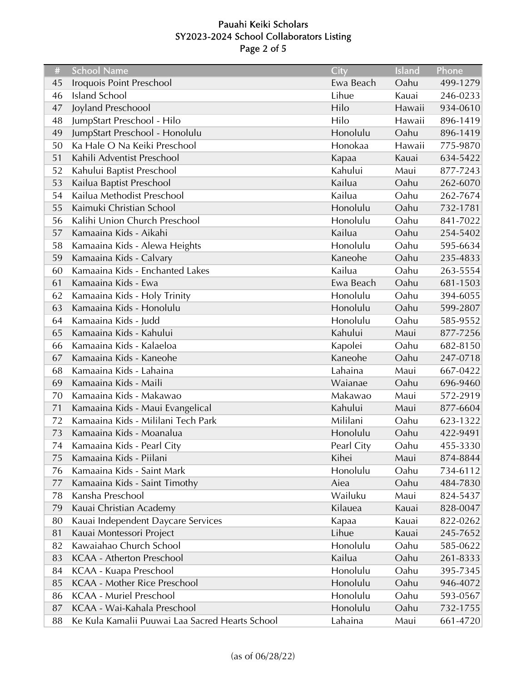# Pauahi Keiki Scholars SY2023-2024 School Collaborators Listing Page 2 of 5

| #  | <b>School Name</b>                              | City       | Island | Phone    |
|----|-------------------------------------------------|------------|--------|----------|
| 45 | Iroquois Point Preschool                        | Ewa Beach  | Oahu   | 499-1279 |
| 46 | <b>Island School</b>                            | Lihue      | Kauai  | 246-0233 |
| 47 | Joyland Preschoool                              | Hilo       | Hawaii | 934-0610 |
| 48 | JumpStart Preschool - Hilo                      | Hilo       | Hawaii | 896-1419 |
| 49 | JumpStart Preschool - Honolulu                  | Honolulu   | Oahu   | 896-1419 |
| 50 | Ka Hale O Na Keiki Preschool                    | Honokaa    | Hawaii | 775-9870 |
| 51 | Kahili Adventist Preschool                      | Kapaa      | Kauai  | 634-5422 |
| 52 | Kahului Baptist Preschool                       | Kahului    | Maui   | 877-7243 |
| 53 | Kailua Baptist Preschool                        | Kailua     | Oahu   | 262-6070 |
| 54 | Kailua Methodist Preschool                      | Kailua     | Oahu   | 262-7674 |
| 55 | Kaimuki Christian School                        | Honolulu   | Oahu   | 732-1781 |
| 56 | Kalihi Union Church Preschool                   | Honolulu   | Oahu   | 841-7022 |
| 57 | Kamaaina Kids - Aikahi                          | Kailua     | Oahu   | 254-5402 |
| 58 | Kamaaina Kids - Alewa Heights                   | Honolulu   | Oahu   | 595-6634 |
| 59 | Kamaaina Kids - Calvary                         | Kaneohe    | Oahu   | 235-4833 |
| 60 | Kamaaina Kids - Enchanted Lakes                 | Kailua     | Oahu   | 263-5554 |
| 61 | Kamaaina Kids - Ewa                             | Ewa Beach  | Oahu   | 681-1503 |
| 62 | Kamaaina Kids - Holy Trinity                    | Honolulu   | Oahu   | 394-6055 |
| 63 | Kamaaina Kids - Honolulu                        | Honolulu   | Oahu   | 599-2807 |
| 64 | Kamaaina Kids - Judd                            | Honolulu   | Oahu   | 585-9552 |
| 65 | Kamaaina Kids - Kahului                         | Kahului    | Maui   | 877-7256 |
| 66 | Kamaaina Kids - Kalaeloa                        | Kapolei    | Oahu   | 682-8150 |
| 67 | Kamaaina Kids - Kaneohe                         | Kaneohe    | Oahu   | 247-0718 |
| 68 | Kamaaina Kids - Lahaina                         | Lahaina    | Maui   | 667-0422 |
| 69 | Kamaaina Kids - Maili                           | Waianae    | Oahu   | 696-9460 |
| 70 | Kamaaina Kids - Makawao                         | Makawao    | Maui   | 572-2919 |
| 71 | Kamaaina Kids - Maui Evangelical                | Kahului    | Maui   | 877-6604 |
| 72 | Kamaaina Kids - Mililani Tech Park              | Mililani   | Oahu   | 623-1322 |
| 73 | Kamaaina Kids - Moanalua                        | Honolulu   | Oahu   | 422-9491 |
| 74 | Kamaaina Kids - Pearl City                      | Pearl City | Oahu   | 455-3330 |
| 75 | Kamaaina Kids - Piilani                         | Kihei      | Maui   | 874-8844 |
| 76 | Kamaaina Kids - Saint Mark                      | Honolulu   | Oahu   | 734-6112 |
| 77 | Kamaaina Kids - Saint Timothy                   | Aiea       | Oahu   | 484-7830 |
| 78 | Kansha Preschool                                | Wailuku    | Maui   | 824-5437 |
| 79 | Kauai Christian Academy                         | Kilauea    | Kauai  | 828-0047 |
| 80 | Kauai Independent Daycare Services              | Kapaa      | Kauai  | 822-0262 |
| 81 | Kauai Montessori Project                        | Lihue      | Kauai  | 245-7652 |
| 82 | Kawaiahao Church School                         | Honolulu   | Oahu   | 585-0622 |
| 83 | <b>KCAA - Atherton Preschool</b>                | Kailua     | Oahu   | 261-8333 |
| 84 | <b>KCAA - Kuapa Preschool</b>                   | Honolulu   | Oahu   | 395-7345 |
| 85 | <b>KCAA - Mother Rice Preschool</b>             | Honolulu   | Oahu   | 946-4072 |
| 86 | <b>KCAA - Muriel Preschool</b>                  | Honolulu   | Oahu   | 593-0567 |
| 87 | KCAA - Wai-Kahala Preschool                     | Honolulu   | Oahu   | 732-1755 |
| 88 | Ke Kula Kamalii Puuwai Laa Sacred Hearts School | Lahaina    | Maui   | 661-4720 |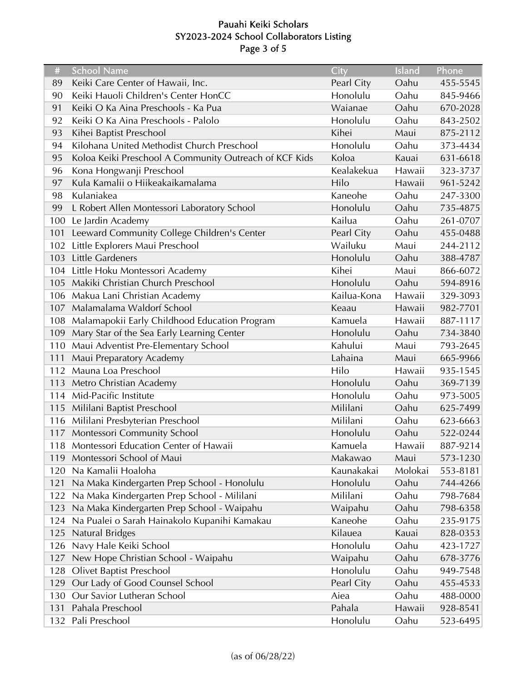# Pauahi Keiki Scholars SY2023-2024 School Collaborators Listing Page 3 of 5

| #   | <b>School Name</b>                                     | City        | Island  | Phone    |
|-----|--------------------------------------------------------|-------------|---------|----------|
| 89  | Keiki Care Center of Hawaii, Inc.                      | Pearl City  | Oahu    | 455-5545 |
| 90  | Keiki Hauoli Children's Center HonCC                   | Honolulu    | Oahu    | 845-9466 |
| 91  | Keiki O Ka Aina Preschools - Ka Pua                    | Waianae     | Oahu    | 670-2028 |
| 92  | Keiki O Ka Aina Preschools - Palolo                    | Honolulu    | Oahu    | 843-2502 |
| 93  | Kihei Baptist Preschool                                | Kihei       | Maui    | 875-2112 |
| 94  | Kilohana United Methodist Church Preschool             | Honolulu    | Oahu    | 373-4434 |
| 95  | Koloa Keiki Preschool A Community Outreach of KCF Kids | Koloa       | Kauai   | 631-6618 |
| 96  | Kona Hongwanji Preschool                               | Kealakekua  | Hawaii  | 323-3737 |
| 97  | Kula Kamalii o Hiikeakaikamalama                       | Hilo        | Hawaii  | 961-5242 |
| 98  | Kulaniakea                                             | Kaneohe     | Oahu    | 247-3300 |
| 99  | L Robert Allen Montessori Laboratory School            | Honolulu    | Oahu    | 735-4875 |
| 100 | Le Jardin Academy                                      | Kailua      | Oahu    | 261-0707 |
| 101 | Leeward Community College Children's Center            | Pearl City  | Oahu    | 455-0488 |
| 102 | Little Explorers Maui Preschool                        | Wailuku     | Maui    | 244-2112 |
| 103 | <b>Little Gardeners</b>                                | Honolulu    | Oahu    | 388-4787 |
| 104 | Little Hoku Montessori Academy                         | Kihei       | Maui    | 866-6072 |
| 105 | Makiki Christian Church Preschool                      | Honolulu    | Oahu    | 594-8916 |
| 106 | Makua Lani Christian Academy                           | Kailua-Kona | Hawaii  | 329-3093 |
| 107 | Malamalama Waldorf School                              | Keaau       | Hawaii  | 982-7701 |
| 108 | Malamapokii Early Childhood Education Program          | Kamuela     | Hawaii  | 887-1117 |
| 109 | Mary Star of the Sea Early Learning Center             | Honolulu    | Oahu    | 734-3840 |
| 110 | Maui Adventist Pre-Elementary School                   | Kahului     | Maui    | 793-2645 |
| 111 | Maui Preparatory Academy                               | Lahaina     | Maui    | 665-9966 |
| 112 | Mauna Loa Preschool                                    | Hilo        | Hawaii  | 935-1545 |
| 113 | Metro Christian Academy                                | Honolulu    | Oahu    | 369-7139 |
| 114 | Mid-Pacific Institute                                  | Honolulu    | Oahu    | 973-5005 |
| 115 | Mililani Baptist Preschool                             | Mililani    | Oahu    | 625-7499 |
| 116 | Mililani Presbyterian Preschool                        | Mililani    | Oahu    | 623-6663 |
| 117 | Montessori Community School                            | Honolulu    | Oahu    | 522-0244 |
|     | 118 Montessori Education Center of Hawaii              | Kamuela     | Hawaii  | 887-9214 |
| 119 | Montessori School of Maui                              | Makawao     | Maui    | 573-1230 |
| 120 | Na Kamalii Hoaloha                                     | Kaunakakai  | Molokai | 553-8181 |
| 121 | Na Maka Kindergarten Prep School - Honolulu            | Honolulu    | Oahu    | 744-4266 |
| 122 | Na Maka Kindergarten Prep School - Mililani            | Mililani    | Oahu    | 798-7684 |
| 123 | Na Maka Kindergarten Prep School - Waipahu             | Waipahu     | Oahu    | 798-6358 |
| 124 | Na Pualei o Sarah Hainakolo Kupanihi Kamakau           | Kaneohe     | Oahu    | 235-9175 |
| 125 | <b>Natural Bridges</b>                                 | Kilauea     | Kauai   | 828-0353 |
| 126 | Navy Hale Keiki School                                 | Honolulu    | Oahu    | 423-1727 |
| 127 | New Hope Christian School - Waipahu                    | Waipahu     | Oahu    | 678-3776 |
| 128 | Olivet Baptist Preschool                               | Honolulu    | Oahu    | 949-7548 |
| 129 | Our Lady of Good Counsel School                        | Pearl City  | Oahu    | 455-4533 |
| 130 | Our Savior Lutheran School                             | Aiea        | Oahu    | 488-0000 |
| 131 | Pahala Preschool                                       | Pahala      | Hawaii  | 928-8541 |
| 132 | Pali Preschool                                         | Honolulu    | Oahu    | 523-6495 |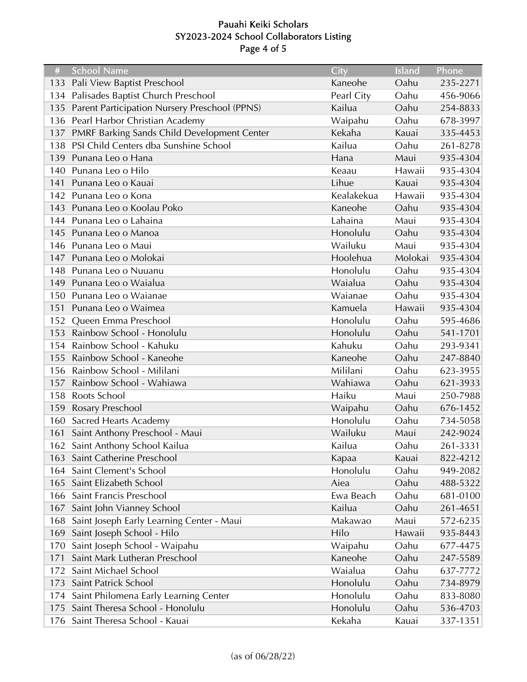# Pauahi Keiki Scholars SY2023-2024 School Collaborators Listing Page 4 of 5

| #   | <b>School Name</b>                            | City       | Island  | Phone    |
|-----|-----------------------------------------------|------------|---------|----------|
| 133 | Pali View Baptist Preschool                   | Kaneohe    | Oahu    | 235-2271 |
| 134 | Palisades Baptist Church Preschool            | Pearl City | Oahu    | 456-9066 |
| 135 | Parent Participation Nursery Preschool (PPNS) | Kailua     | Oahu    | 254-8833 |
| 136 | Pearl Harbor Christian Academy                | Waipahu    | Oahu    | 678-3997 |
| 137 | PMRF Barking Sands Child Development Center   | Kekaha     | Kauai   | 335-4453 |
| 138 | PSI Child Centers dba Sunshine School         | Kailua     | Oahu    | 261-8278 |
| 139 | Punana Leo o Hana                             | Hana       | Maui    | 935-4304 |
| 140 | Punana Leo o Hilo                             | Keaau      | Hawaii  | 935-4304 |
| 141 | Punana Leo o Kauai                            | Lihue      | Kauai   | 935-4304 |
| 142 | Punana Leo o Kona                             | Kealakekua | Hawaii  | 935-4304 |
| 143 | Punana Leo o Koolau Poko                      | Kaneohe    | Oahu    | 935-4304 |
| 144 | Punana Leo o Lahaina                          | Lahaina    | Maui    | 935-4304 |
| 145 | Punana Leo o Manoa                            | Honolulu   | Oahu    | 935-4304 |
| 146 | Punana Leo o Maui                             | Wailuku    | Maui    | 935-4304 |
| 147 | Punana Leo o Molokai                          | Hoolehua   | Molokai | 935-4304 |
| 148 | Punana Leo o Nuuanu                           | Honolulu   | Oahu    | 935-4304 |
| 149 | Punana Leo o Waialua                          | Waialua    | Oahu    | 935-4304 |
| 150 | Punana Leo o Waianae                          | Waianae    | Oahu    | 935-4304 |
| 151 | Punana Leo o Waimea                           | Kamuela    | Hawaii  | 935-4304 |
| 152 | Queen Emma Preschool                          | Honolulu   | Oahu    | 595-4686 |
| 153 | Rainbow School - Honolulu                     | Honolulu   | Oahu    | 541-1701 |
| 154 | Rainbow School - Kahuku                       | Kahuku     | Oahu    | 293-9341 |
| 155 | Rainbow School - Kaneohe                      | Kaneohe    | Oahu    | 247-8840 |
| 156 | Rainbow School - Mililani                     | Mililani   | Oahu    | 623-3955 |
| 157 | Rainbow School - Wahiawa                      | Wahiawa    | Oahu    | 621-3933 |
| 158 | Roots School                                  | Haiku      | Maui    | 250-7988 |
| 159 | <b>Rosary Preschool</b>                       | Waipahu    | Oahu    | 676-1452 |
| 160 | <b>Sacred Hearts Academy</b>                  | Honolulu   | Oahu    | 734-5058 |
| 161 | Saint Anthony Preschool - Maui                | Wailuku    | Maui    | 242-9024 |
|     | 162 Saint Anthony School Kailua               | Kailua     | Oahu    | 261-3331 |
|     | 163 Saint Catherine Preschool                 | Kapaa      | Kauai   | 822-4212 |
| 164 | Saint Clement's School                        | Honolulu   | Oahu    | 949-2082 |
| 165 | Saint Elizabeth School                        | Aiea       | Oahu    | 488-5322 |
| 166 | Saint Francis Preschool                       | Ewa Beach  | Oahu    | 681-0100 |
| 167 | Saint John Vianney School                     | Kailua     | Oahu    | 261-4651 |
| 168 | Saint Joseph Early Learning Center - Maui     | Makawao    | Maui    | 572-6235 |
| 169 | Saint Joseph School - Hilo                    | Hilo       | Hawaii  | 935-8443 |
| 170 | Saint Joseph School - Waipahu                 | Waipahu    | Oahu    | 677-4475 |
| 171 | Saint Mark Lutheran Preschool                 | Kaneohe    | Oahu    | 247-5589 |
| 172 | Saint Michael School                          | Waialua    | Oahu    | 637-7772 |
| 173 | Saint Patrick School                          | Honolulu   | Oahu    | 734-8979 |
| 174 | Saint Philomena Early Learning Center         | Honolulu   | Oahu    | 833-8080 |
| 175 | Saint Theresa School - Honolulu               | Honolulu   | Oahu    | 536-4703 |
| 176 | Saint Theresa School - Kauai                  | Kekaha     | Kauai   | 337-1351 |